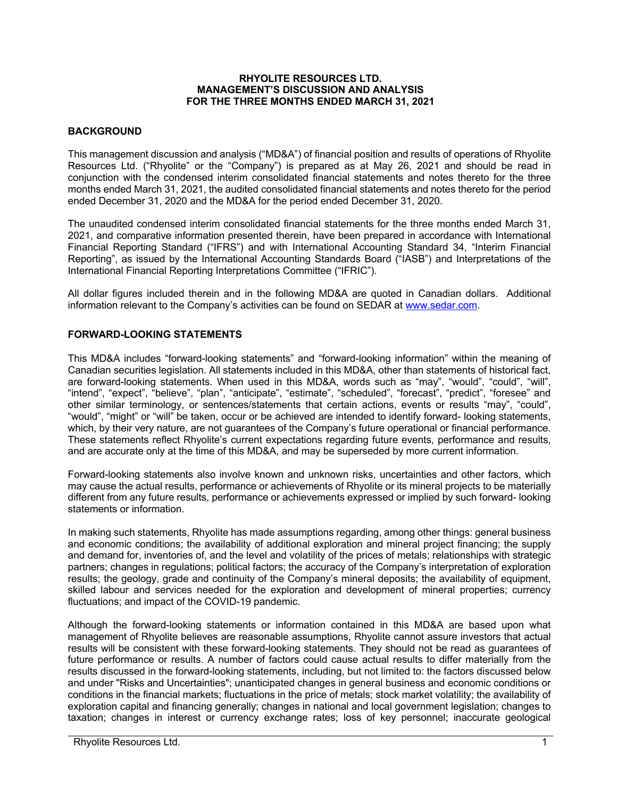#### **RHYOLITE RESOURCES LTD. MANAGEMENT'S DISCUSSION AND ANALYSIS FOR THE THREE MONTHS ENDED MARCH 31, 2021**

### **BACKGROUND**

This management discussion and analysis ("MD&A") of financial position and results of operations of Rhyolite Resources Ltd. ("Rhyolite" or the "Company") is prepared as at May 26, 2021 and should be read in conjunction with the condensed interim consolidated financial statements and notes thereto for the three months ended March 31, 2021, the audited consolidated financial statements and notes thereto for the period ended December 31, 2020 and the MD&A for the period ended December 31, 2020.

The unaudited condensed interim consolidated financial statements for the three months ended March 31, 2021, and comparative information presented therein, have been prepared in accordance with International Financial Reporting Standard ("IFRS") and with International Accounting Standard 34, "Interim Financial Reporting", as issued by the International Accounting Standards Board ("IASB") and Interpretations of the International Financial Reporting Interpretations Committee ("IFRIC").

All dollar figures included therein and in the following MD&A are quoted in Canadian dollars. Additional information relevant to the Company's activities can be found on SEDAR at www.sedar.com.

## **FORWARD-LOOKING STATEMENTS**

This MD&A includes "forward-looking statements" and "forward-looking information" within the meaning of Canadian securities legislation. All statements included in this MD&A, other than statements of historical fact, are forward-looking statements. When used in this MD&A, words such as "may", "would", "could", "will", "intend", "expect", "believe", "plan", "anticipate", "estimate", "scheduled", "forecast", "predict", "foresee" and other similar terminology, or sentences/statements that certain actions, events or results "may", "could", "would", "might" or "will" be taken, occur or be achieved are intended to identify forward- looking statements, which, by their very nature, are not guarantees of the Company's future operational or financial performance. These statements reflect Rhyolite's current expectations regarding future events, performance and results, and are accurate only at the time of this MD&A, and may be superseded by more current information.

Forward-looking statements also involve known and unknown risks, uncertainties and other factors, which may cause the actual results, performance or achievements of Rhyolite or its mineral projects to be materially different from any future results, performance or achievements expressed or implied by such forward- looking statements or information.

In making such statements, Rhyolite has made assumptions regarding, among other things: general business and economic conditions; the availability of additional exploration and mineral project financing; the supply and demand for, inventories of, and the level and volatility of the prices of metals; relationships with strategic partners; changes in regulations; political factors; the accuracy of the Company's interpretation of exploration results; the geology, grade and continuity of the Company's mineral deposits; the availability of equipment, skilled labour and services needed for the exploration and development of mineral properties; currency fluctuations; and impact of the COVID-19 pandemic.

Although the forward-looking statements or information contained in this MD&A are based upon what management of Rhyolite believes are reasonable assumptions, Rhyolite cannot assure investors that actual results will be consistent with these forward-looking statements. They should not be read as guarantees of future performance or results. A number of factors could cause actual results to differ materially from the results discussed in the forward-looking statements, including, but not limited to: the factors discussed below and under "Risks and Uncertainties"; unanticipated changes in general business and economic conditions or conditions in the financial markets; fluctuations in the price of metals; stock market volatility; the availability of exploration capital and financing generally; changes in national and local government legislation; changes to taxation; changes in interest or currency exchange rates; loss of key personnel; inaccurate geological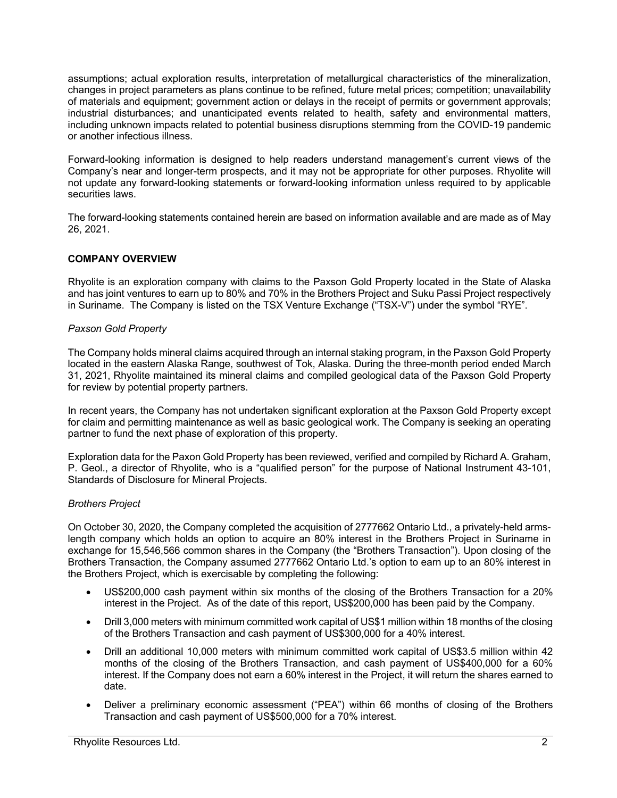assumptions; actual exploration results, interpretation of metallurgical characteristics of the mineralization, changes in project parameters as plans continue to be refined, future metal prices; competition; unavailability of materials and equipment; government action or delays in the receipt of permits or government approvals; industrial disturbances; and unanticipated events related to health, safety and environmental matters, including unknown impacts related to potential business disruptions stemming from the COVID-19 pandemic or another infectious illness.

Forward-looking information is designed to help readers understand management's current views of the Company's near and longer-term prospects, and it may not be appropriate for other purposes. Rhyolite will not update any forward-looking statements or forward-looking information unless required to by applicable securities laws.

The forward-looking statements contained herein are based on information available and are made as of May 26, 2021.

# **COMPANY OVERVIEW**

Rhyolite is an exploration company with claims to the Paxson Gold Property located in the State of Alaska and has joint ventures to earn up to 80% and 70% in the Brothers Project and Suku Passi Project respectively in Suriname. The Company is listed on the TSX Venture Exchange ("TSX-V") under the symbol "RYE".

## *Paxson Gold Property*

The Company holds mineral claims acquired through an internal staking program, in the Paxson Gold Property located in the eastern Alaska Range, southwest of Tok, Alaska. During the three-month period ended March 31, 2021, Rhyolite maintained its mineral claims and compiled geological data of the Paxson Gold Property for review by potential property partners.

In recent years, the Company has not undertaken significant exploration at the Paxson Gold Property except for claim and permitting maintenance as well as basic geological work. The Company is seeking an operating partner to fund the next phase of exploration of this property.

Exploration data for the Paxon Gold Property has been reviewed, verified and compiled by Richard A. Graham, P. Geol., a director of Rhyolite, who is a "qualified person" for the purpose of National Instrument 43-101, Standards of Disclosure for Mineral Projects.

# *Brothers Project*

On October 30, 2020, the Company completed the acquisition of 2777662 Ontario Ltd., a privately-held armslength company which holds an option to acquire an 80% interest in the Brothers Project in Suriname in exchange for 15,546,566 common shares in the Company (the "Brothers Transaction"). Upon closing of the Brothers Transaction, the Company assumed 2777662 Ontario Ltd.'s option to earn up to an 80% interest in the Brothers Project, which is exercisable by completing the following:

- US\$200,000 cash payment within six months of the closing of the Brothers Transaction for a 20% interest in the Project. As of the date of this report, US\$200,000 has been paid by the Company.
- Drill 3,000 meters with minimum committed work capital of US\$1 million within 18 months of the closing of the Brothers Transaction and cash payment of US\$300,000 for a 40% interest.
- Drill an additional 10,000 meters with minimum committed work capital of US\$3.5 million within 42 months of the closing of the Brothers Transaction, and cash payment of US\$400,000 for a 60% interest. If the Company does not earn a 60% interest in the Project, it will return the shares earned to date.
- Deliver a preliminary economic assessment ("PEA") within 66 months of closing of the Brothers Transaction and cash payment of US\$500,000 for a 70% interest.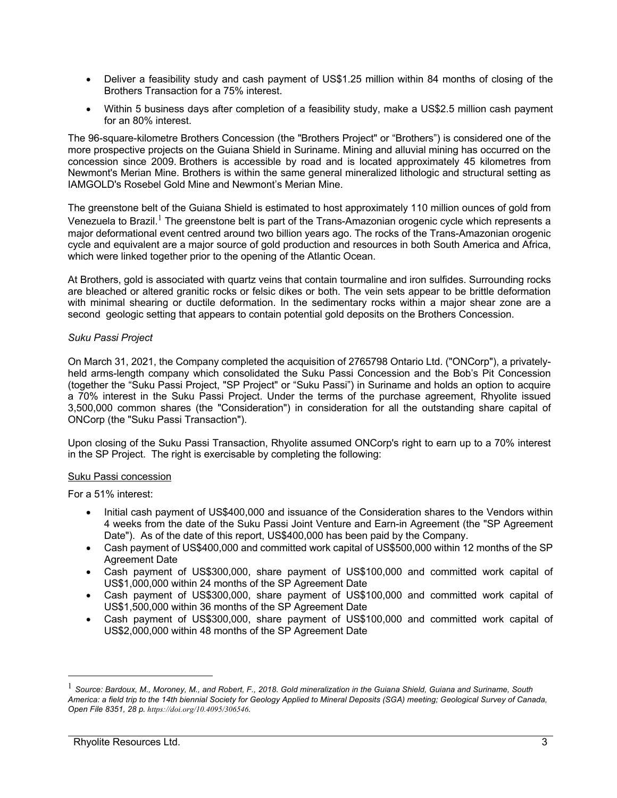- Deliver a feasibility study and cash payment of US\$1.25 million within 84 months of closing of the Brothers Transaction for a 75% interest.
- Within 5 business days after completion of a feasibility study, make a US\$2.5 million cash payment for an 80% interest.

The 96-square-kilometre Brothers Concession (the "Brothers Project" or "Brothers") is considered one of the more prospective projects on the Guiana Shield in Suriname. Mining and alluvial mining has occurred on the concession since 2009. Brothers is accessible by road and is located approximately 45 kilometres from Newmont's Merian Mine. Brothers is within the same general mineralized lithologic and structural setting as IAMGOLD's Rosebel Gold Mine and Newmont's Merian Mine.

The greenstone belt of the Guiana Shield is estimated to host approximately 110 million ounces of gold from Venezuela to Brazil.<sup>1</sup> The greenstone belt is part of the Trans-Amazonian orogenic cycle which represents a major deformational event centred around two billion years ago. The rocks of the Trans-Amazonian orogenic cycle and equivalent are a major source of gold production and resources in both South America and Africa, which were linked together prior to the opening of the Atlantic Ocean.

At Brothers, gold is associated with quartz veins that contain tourmaline and iron sulfides. Surrounding rocks are bleached or altered granitic rocks or felsic dikes or both. The vein sets appear to be brittle deformation with minimal shearing or ductile deformation. In the sedimentary rocks within a major shear zone are a second geologic setting that appears to contain potential gold deposits on the Brothers Concession.

## *Suku Passi Project*

On March 31, 2021, the Company completed the acquisition of 2765798 Ontario Ltd. ("ONCorp"), a privatelyheld arms-length company which consolidated the Suku Passi Concession and the Bob's Pit Concession (together the "Suku Passi Project, "SP Project" or "Suku Passi") in Suriname and holds an option to acquire a 70% interest in the Suku Passi Project. Under the terms of the purchase agreement, Rhyolite issued 3,500,000 common shares (the "Consideration") in consideration for all the outstanding share capital of ONCorp (the "Suku Passi Transaction").

Upon closing of the Suku Passi Transaction, Rhyolite assumed ONCorp's right to earn up to a 70% interest in the SP Project. The right is exercisable by completing the following:

## Suku Passi concession

For a 51% interest:

- Initial cash payment of US\$400,000 and issuance of the Consideration shares to the Vendors within 4 weeks from the date of the Suku Passi Joint Venture and Earn-in Agreement (the "SP Agreement Date"). As of the date of this report, US\$400,000 has been paid by the Company.
- Cash payment of US\$400,000 and committed work capital of US\$500,000 within 12 months of the SP Agreement Date
- Cash payment of US\$300,000, share payment of US\$100,000 and committed work capital of US\$1,000,000 within 24 months of the SP Agreement Date
- Cash payment of US\$300,000, share payment of US\$100,000 and committed work capital of US\$1,500,000 within 36 months of the SP Agreement Date
- Cash payment of US\$300,000, share payment of US\$100,000 and committed work capital of US\$2,000,000 within 48 months of the SP Agreement Date

<sup>1</sup> *Source: Bardoux, M., Moroney, M., and Robert, F., 2018. Gold mineralization in the Guiana Shield, Guiana and Suriname, South America: a field trip to the 14th biennial Society for Geology Applied to Mineral Deposits (SGA) meeting; Geological Survey of Canada, Open File 8351, 28 p. https://doi.org/10.4095/306546.*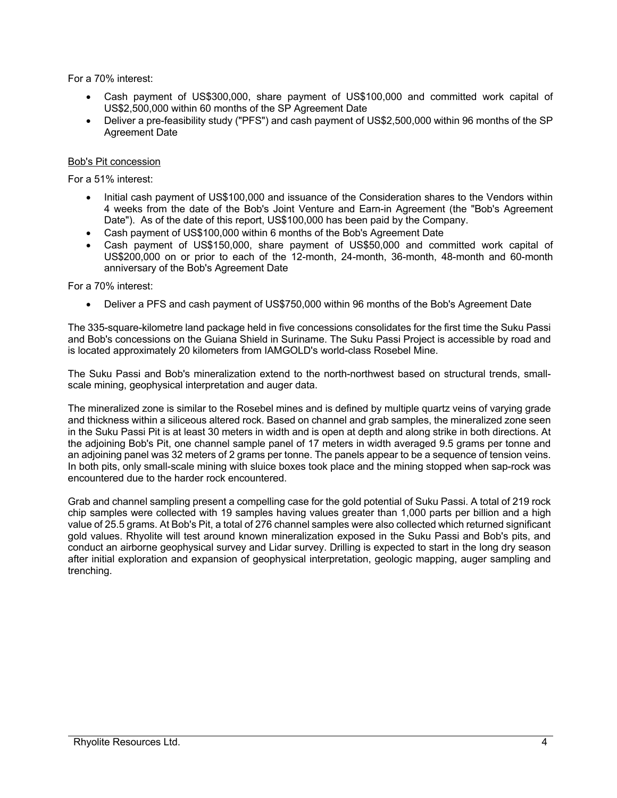For a 70% interest:

- Cash payment of US\$300,000, share payment of US\$100,000 and committed work capital of US\$2,500,000 within 60 months of the SP Agreement Date
- Deliver a pre-feasibility study ("PFS") and cash payment of US\$2,500,000 within 96 months of the SP Agreement Date

## Bob's Pit concession

For a 51% interest:

- Initial cash payment of US\$100,000 and issuance of the Consideration shares to the Vendors within 4 weeks from the date of the Bob's Joint Venture and Earn-in Agreement (the "Bob's Agreement Date"). As of the date of this report, US\$100,000 has been paid by the Company.
- Cash payment of US\$100,000 within 6 months of the Bob's Agreement Date
- Cash payment of US\$150,000, share payment of US\$50,000 and committed work capital of US\$200,000 on or prior to each of the 12-month, 24-month, 36-month, 48-month and 60-month anniversary of the Bob's Agreement Date

For a 70% interest:

• Deliver a PFS and cash payment of US\$750,000 within 96 months of the Bob's Agreement Date

The 335-square-kilometre land package held in five concessions consolidates for the first time the Suku Passi and Bob's concessions on the Guiana Shield in Suriname. The Suku Passi Project is accessible by road and is located approximately 20 kilometers from IAMGOLD's world-class Rosebel Mine.

The Suku Passi and Bob's mineralization extend to the north-northwest based on structural trends, smallscale mining, geophysical interpretation and auger data.

The mineralized zone is similar to the Rosebel mines and is defined by multiple quartz veins of varying grade and thickness within a siliceous altered rock. Based on channel and grab samples, the mineralized zone seen in the Suku Passi Pit is at least 30 meters in width and is open at depth and along strike in both directions. At the adjoining Bob's Pit, one channel sample panel of 17 meters in width averaged 9.5 grams per tonne and an adjoining panel was 32 meters of 2 grams per tonne. The panels appear to be a sequence of tension veins. In both pits, only small-scale mining with sluice boxes took place and the mining stopped when sap-rock was encountered due to the harder rock encountered.

Grab and channel sampling present a compelling case for the gold potential of Suku Passi. A total of 219 rock chip samples were collected with 19 samples having values greater than 1,000 parts per billion and a high value of 25.5 grams. At Bob's Pit, a total of 276 channel samples were also collected which returned significant gold values. Rhyolite will test around known mineralization exposed in the Suku Passi and Bob's pits, and conduct an airborne geophysical survey and Lidar survey. Drilling is expected to start in the long dry season after initial exploration and expansion of geophysical interpretation, geologic mapping, auger sampling and trenching.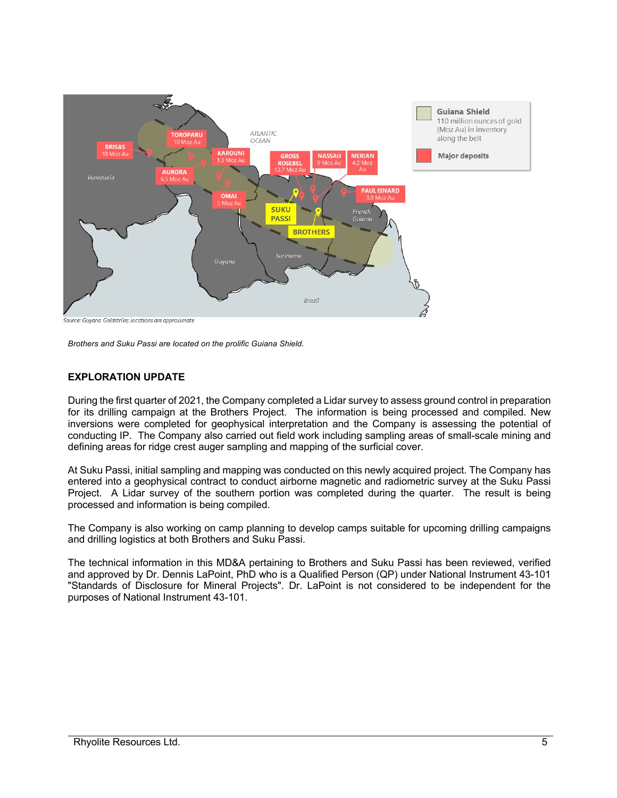

Source: Guyana Goldstrike; locations are approximate

*Brothers and Suku Passi are located on the prolific Guiana Shield.*

## **EXPLORATION UPDATE**

During the first quarter of 2021, the Company completed a Lidar survey to assess ground control in preparation for its drilling campaign at the Brothers Project. The information is being processed and compiled. New inversions were completed for geophysical interpretation and the Company is assessing the potential of conducting IP. The Company also carried out field work including sampling areas of small-scale mining and defining areas for ridge crest auger sampling and mapping of the surficial cover.

At Suku Passi, initial sampling and mapping was conducted on this newly acquired project. The Company has entered into a geophysical contract to conduct airborne magnetic and radiometric survey at the Suku Passi Project. A Lidar survey of the southern portion was completed during the quarter. The result is being processed and information is being compiled.

The Company is also working on camp planning to develop camps suitable for upcoming drilling campaigns and drilling logistics at both Brothers and Suku Passi.

The technical information in this MD&A pertaining to Brothers and Suku Passi has been reviewed, verified and approved by Dr. Dennis LaPoint, PhD who is a Qualified Person (QP) under National Instrument 43-101 "Standards of Disclosure for Mineral Projects". Dr. LaPoint is not considered to be independent for the purposes of National Instrument 43-101.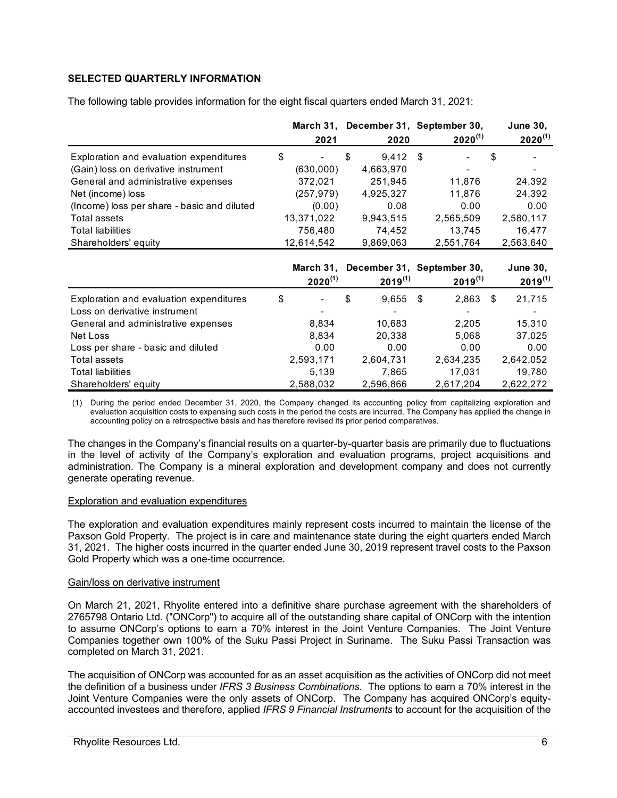# **SELECTED QUARTERLY INFORMATION**

The following table provides information for the eight fiscal quarters ended March 31, 2021:

|                                             | 2021         | March 31, December 31, September 30,<br>2020 |      | $2020^{(1)}$ | <b>June 30,</b><br>$2020^{(1)}$ |
|---------------------------------------------|--------------|----------------------------------------------|------|--------------|---------------------------------|
| Exploration and evaluation expenditures     | \$           | \$<br>9,412                                  | - \$ |              | \$                              |
| (Gain) loss on derivative instrument        | (630,000)    | 4,663,970                                    |      |              |                                 |
| General and administrative expenses         | 372,021      | 251,945                                      |      | 11,876       | 24,392                          |
| Net (income) loss                           | (257, 979)   | 4,925,327                                    |      | 11,876       | 24,392                          |
| (Income) loss per share - basic and diluted | (0.00)       | 0.08                                         |      | 0.00         | 0.00                            |
| <b>Total assets</b>                         | 13,371,022   | 9,943,515                                    |      | 2,565,509    | 2,580,117                       |
| <b>Total liabilities</b>                    | 756,480      | 74,452                                       |      | 13,745       | 16,477                          |
| Shareholders' equity                        | 12,614,542   | 9,869,063                                    |      | 2,551,764    | 2,563,640                       |
|                                             |              |                                              |      |              |                                 |
|                                             | March 31,    | December 31, September 30,                   |      |              | <b>June 30,</b>                 |
|                                             | $2020^{(1)}$ | $2019^{(1)}$                                 |      | $2019^{(1)}$ | $2019^{(1)}$                    |
| Exploration and evaluation expenditures     | \$           | \$<br>9,655                                  | - \$ | 2,863        | \$<br>21,715                    |
| Loss on derivative instrument               |              |                                              |      |              |                                 |
| General and administrative expenses         | 8,834        | 10,683                                       |      | 2,205        | 15,310                          |
| Net Loss                                    | 8,834        | 20,338                                       |      | 5,068        | 37,025                          |
| Loss per share - basic and diluted          | 0.00         | 0.00                                         |      | 0.00         | 0.00                            |
| Total assets                                | 2,593,171    | 2,604,731                                    |      | 2,634,235    | 2,642,052                       |
| <b>Total liabilities</b>                    | 5,139        | 7,865                                        |      | 17,031       | 19,780                          |
| Shareholders' equity                        | 2,588,032    | 2,596,866                                    |      | 2,617,204    | 2,622,272                       |

(1) During the period ended December 31, 2020, the Company changed its accounting policy from capitalizing exploration and evaluation acquisition costs to expensing such costs in the period the costs are incurred. The Company has applied the change in accounting policy on a retrospective basis and has therefore revised its prior period comparatives.

The changes in the Company's financial results on a quarter-by-quarter basis are primarily due to fluctuations in the level of activity of the Company's exploration and evaluation programs, project acquisitions and administration. The Company is a mineral exploration and development company and does not currently generate operating revenue.

#### Exploration and evaluation expenditures

The exploration and evaluation expenditures mainly represent costs incurred to maintain the license of the Paxson Gold Property. The project is in care and maintenance state during the eight quarters ended March 31, 2021. The higher costs incurred in the quarter ended June 30, 2019 represent travel costs to the Paxson Gold Property which was a one-time occurrence.

#### Gain/loss on derivative instrument

On March 21, 2021, Rhyolite entered into a definitive share purchase agreement with the shareholders of 2765798 Ontario Ltd. ("ONCorp") to acquire all of the outstanding share capital of ONCorp with the intention to assume ONCorp's options to earn a 70% interest in the Joint Venture Companies. The Joint Venture Companies together own 100% of the Suku Passi Project in Suriname. The Suku Passi Transaction was completed on March 31, 2021.

The acquisition of ONCorp was accounted for as an asset acquisition as the activities of ONCorp did not meet the definition of a business under *IFRS 3 Business Combinations*. The options to earn a 70% interest in the Joint Venture Companies were the only assets of ONCorp. The Company has acquired ONCorp's equityaccounted investees and therefore, applied *IFRS 9 Financial Instruments* to account for the acquisition of the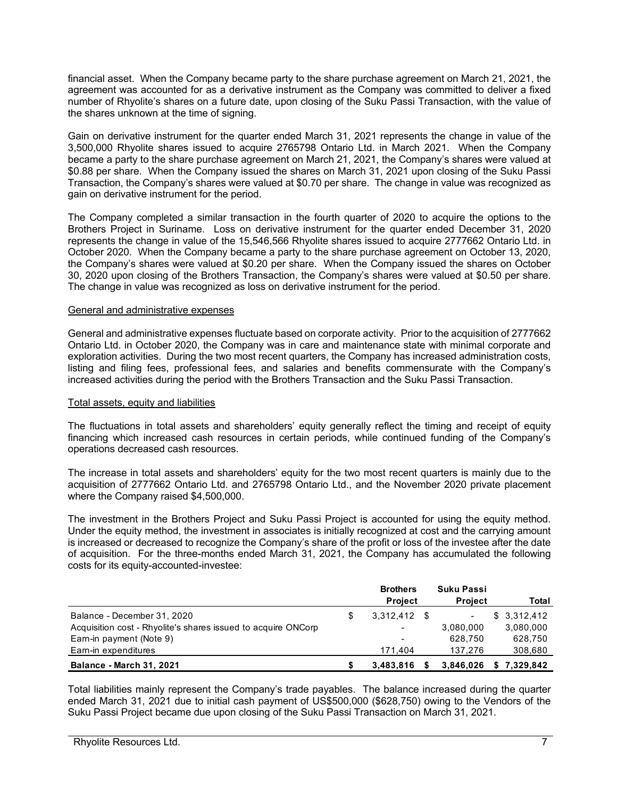financial asset. When the Company became party to the share purchase agreement on March 21, 2021, the agreement was accounted for as a derivative instrument as the Company was committed to deliver a fixed number of Rhyolite's shares on a future date, upon closing of the Suku Passi Transaction, with the value of the shares unknown at the time of signing.

Gain on derivative instrument for the quarter ended March 31, 2021 represents the change in value of the 3,500,000 Rhyolite shares issued to acquire 2765798 Ontario Ltd. in March 2021. When the Company became a party to the share purchase agreement on March 21, 2021, the Company's shares were valued at \$0.88 per share. When the Company issued the shares on March 31, 2021 upon closing of the Suku Passi Transaction, the Company's shares were valued at \$0.70 per share. The change in value was recognized as gain on derivative instrument for the period.

The Company completed a similar transaction in the fourth quarter of 2020 to acquire the options to the Brothers Project in Suriname. Loss on derivative instrument for the quarter ended December 31, 2020 represents the change in value of the 15,546,566 Rhyolite shares issued to acquire 2777662 Ontario Ltd. in October 2020. When the Company became a party to the share purchase agreement on October 13, 2020, the Company's shares were valued at \$0.20 per share. When the Company issued the shares on October 30, 2020 upon closing of the Brothers Transaction, the Company's shares were valued at \$0.50 per share. The change in value was recognized as loss on derivative instrument for the period.

### General and administrative expenses

General and administrative expenses fluctuate based on corporate activity. Prior to the acquisition of 2777662 Ontario Ltd. in October 2020, the Company was in care and maintenance state with minimal corporate and exploration activities. During the two most recent quarters, the Company has increased administration costs, listing and filing fees, professional fees, and salaries and benefits commensurate with the Company's increased activities during the period with the Brothers Transaction and the Suku Passi Transaction.

#### Total assets, equity and liabilities

The fluctuations in total assets and shareholders' equity generally reflect the timing and receipt of equity financing which increased cash resources in certain periods, while continued funding of the Company's operations decreased cash resources.

The increase in total assets and shareholders' equity for the two most recent quarters is mainly due to the acquisition of 2777662 Ontario Ltd. and 2765798 Ontario Ltd., and the November 2020 private placement where the Company raised \$4,500,000.

The investment in the Brothers Project and Suku Passi Project is accounted for using the equity method. Under the equity method, the investment in associates is initially recognized at cost and the carrying amount is increased or decreased to recognize the Company's share of the profit or loss of the investee after the date of acquisition. For the three-months ended March 31, 2021, the Company has accumulated the following costs for its equity-accounted-investee:

|                                                               | <b>Brothers</b><br><b>Project</b> | Suku Passi<br><b>Project</b> | Total       |
|---------------------------------------------------------------|-----------------------------------|------------------------------|-------------|
| Balance - December 31, 2020                                   | $3.312.412$ \$                    | $\overline{\phantom{a}}$     | \$3.312.412 |
| Acquisition cost - Rhyolite's shares issued to acquire ONCorp | $\overline{\phantom{a}}$          | 3,080,000                    | 3,080,000   |
| Earn-in payment (Note 9)                                      | $\overline{\phantom{0}}$          | 628.750                      | 628,750     |
| Earn-in expenditures                                          | 171.404                           | 137.276                      | 308,680     |
| <b>Balance - March 31, 2021</b>                               | 3.483.816                         | 3,846,026                    | \$7.329.842 |

Total liabilities mainly represent the Company's trade payables. The balance increased during the quarter ended March 31, 2021 due to initial cash payment of US\$500,000 (\$628,750) owing to the Vendors of the Suku Passi Project became due upon closing of the Suku Passi Transaction on March 31, 2021.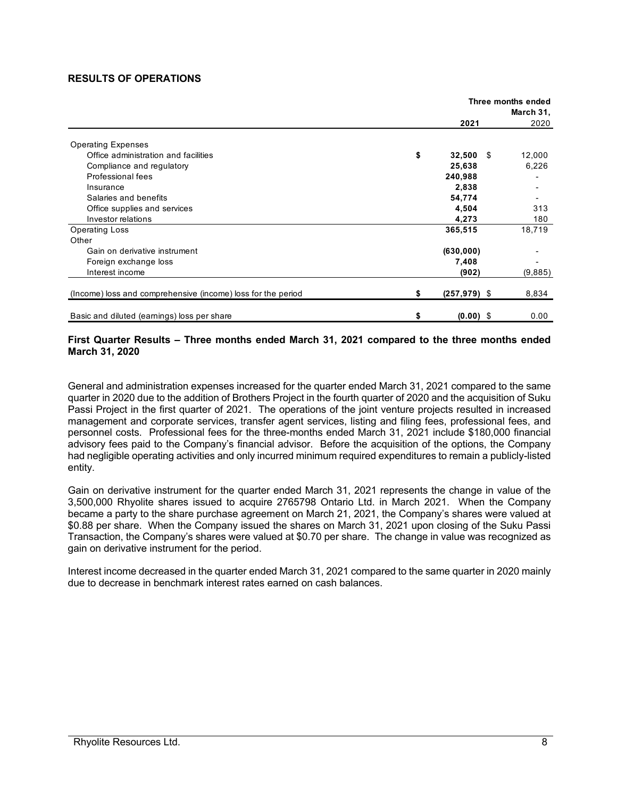### **RESULTS OF OPERATIONS**

|                                                              |    | Three months ended<br>March 31, |  |         |  |
|--------------------------------------------------------------|----|---------------------------------|--|---------|--|
|                                                              |    | 2021                            |  | 2020    |  |
| <b>Operating Expenses</b>                                    |    |                                 |  |         |  |
| Office administration and facilities                         | \$ | $32,500$ \$                     |  | 12,000  |  |
| Compliance and regulatory                                    |    | 25,638                          |  | 6,226   |  |
| Professional fees                                            |    | 240,988                         |  |         |  |
| Insurance                                                    |    | 2,838                           |  |         |  |
| Salaries and benefits                                        |    | 54,774                          |  |         |  |
| Office supplies and services                                 |    | 4,504                           |  | 313     |  |
| Investor relations                                           |    | 4,273                           |  | 180     |  |
| <b>Operating Loss</b>                                        |    | 365,515                         |  | 18,719  |  |
| Other                                                        |    |                                 |  |         |  |
| Gain on derivative instrument                                |    | (630,000)                       |  |         |  |
| Foreign exchange loss                                        |    | 7,408                           |  |         |  |
| Interest income                                              |    | (902)                           |  | (9,885) |  |
| (Income) loss and comprehensive (income) loss for the period | \$ | $(257, 979)$ \$                 |  | 8,834   |  |
| Basic and diluted (earnings) loss per share                  | S  | $(0.00)$ \$                     |  | 0.00    |  |

### **First Quarter Results – Three months ended March 31, 2021 compared to the three months ended March 31, 2020**

General and administration expenses increased for the quarter ended March 31, 2021 compared to the same quarter in 2020 due to the addition of Brothers Project in the fourth quarter of 2020 and the acquisition of Suku Passi Project in the first quarter of 2021. The operations of the joint venture projects resulted in increased management and corporate services, transfer agent services, listing and filing fees, professional fees, and personnel costs. Professional fees for the three-months ended March 31, 2021 include \$180,000 financial advisory fees paid to the Company's financial advisor. Before the acquisition of the options, the Company had negligible operating activities and only incurred minimum required expenditures to remain a publicly-listed entity.

Gain on derivative instrument for the quarter ended March 31, 2021 represents the change in value of the 3,500,000 Rhyolite shares issued to acquire 2765798 Ontario Ltd. in March 2021. When the Company became a party to the share purchase agreement on March 21, 2021, the Company's shares were valued at \$0.88 per share. When the Company issued the shares on March 31, 2021 upon closing of the Suku Passi Transaction, the Company's shares were valued at \$0.70 per share. The change in value was recognized as gain on derivative instrument for the period.

Interest income decreased in the quarter ended March 31, 2021 compared to the same quarter in 2020 mainly due to decrease in benchmark interest rates earned on cash balances.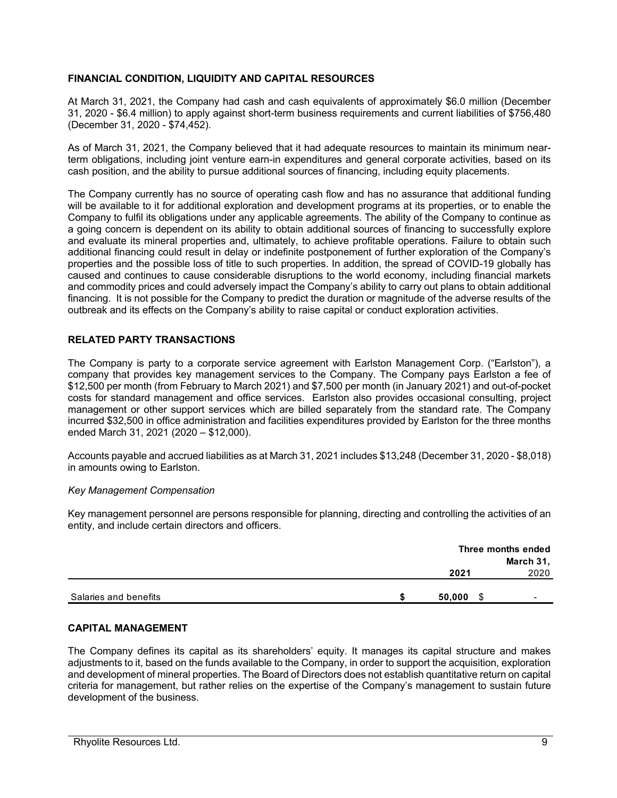## **FINANCIAL CONDITION, LIQUIDITY AND CAPITAL RESOURCES**

At March 31, 2021, the Company had cash and cash equivalents of approximately \$6.0 million (December 31, 2020 - \$6.4 million) to apply against short-term business requirements and current liabilities of \$756,480 (December 31, 2020 - \$74,452).

As of March 31, 2021, the Company believed that it had adequate resources to maintain its minimum nearterm obligations, including joint venture earn-in expenditures and general corporate activities, based on its cash position, and the ability to pursue additional sources of financing, including equity placements.

The Company currently has no source of operating cash flow and has no assurance that additional funding will be available to it for additional exploration and development programs at its properties, or to enable the Company to fulfil its obligations under any applicable agreements. The ability of the Company to continue as a going concern is dependent on its ability to obtain additional sources of financing to successfully explore and evaluate its mineral properties and, ultimately, to achieve profitable operations. Failure to obtain such additional financing could result in delay or indefinite postponement of further exploration of the Company's properties and the possible loss of title to such properties. In addition, the spread of COVID-19 globally has caused and continues to cause considerable disruptions to the world economy, including financial markets and commodity prices and could adversely impact the Company's ability to carry out plans to obtain additional financing. It is not possible for the Company to predict the duration or magnitude of the adverse results of the outbreak and its effects on the Company's ability to raise capital or conduct exploration activities.

## **RELATED PARTY TRANSACTIONS**

The Company is party to a corporate service agreement with Earlston Management Corp. ("Earlston"), a company that provides key management services to the Company. The Company pays Earlston a fee of \$12,500 per month (from February to March 2021) and \$7,500 per month (in January 2021) and out-of-pocket costs for standard management and office services. Earlston also provides occasional consulting, project management or other support services which are billed separately from the standard rate. The Company incurred \$32,500 in office administration and facilities expenditures provided by Earlston for the three months ended March 31, 2021 (2020 – \$12,000).

Accounts payable and accrued liabilities as at March 31, 2021 includes \$13,248 (December 31, 2020 - \$8,018) in amounts owing to Earlston.

## *Key Management Compensation*

Key management personnel are persons responsible for planning, directing and controlling the activities of an entity, and include certain directors and officers.

|                       | Three months ended<br>March 31, |      |  |  |
|-----------------------|---------------------------------|------|--|--|
|                       | 2021                            | 2020 |  |  |
| Salaries and benefits | 50,000<br>S                     | -    |  |  |

## **CAPITAL MANAGEMENT**

The Company defines its capital as its shareholders' equity. It manages its capital structure and makes adjustments to it, based on the funds available to the Company, in order to support the acquisition, exploration and development of mineral properties. The Board of Directors does not establish quantitative return on capital criteria for management, but rather relies on the expertise of the Company's management to sustain future development of the business.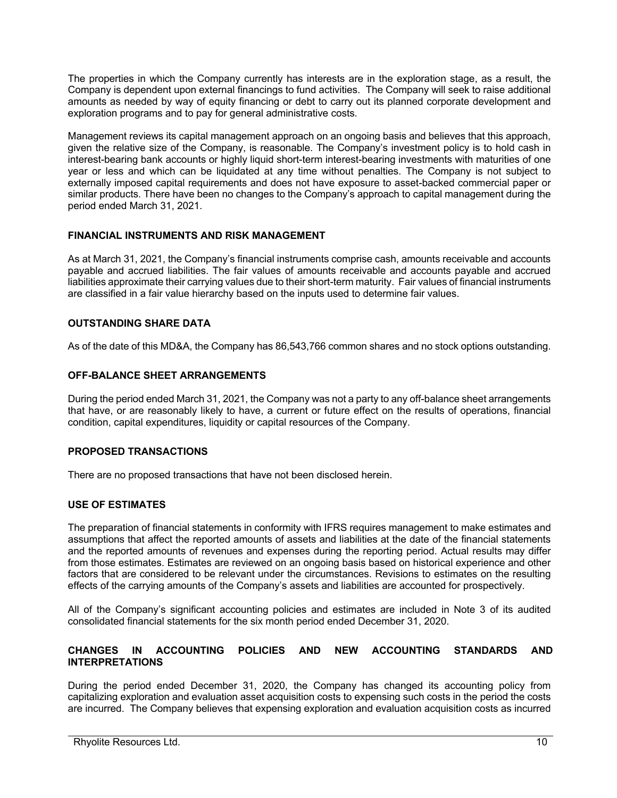The properties in which the Company currently has interests are in the exploration stage, as a result, the Company is dependent upon external financings to fund activities. The Company will seek to raise additional amounts as needed by way of equity financing or debt to carry out its planned corporate development and exploration programs and to pay for general administrative costs.

Management reviews its capital management approach on an ongoing basis and believes that this approach, given the relative size of the Company, is reasonable. The Company's investment policy is to hold cash in interest-bearing bank accounts or highly liquid short-term interest-bearing investments with maturities of one year or less and which can be liquidated at any time without penalties. The Company is not subject to externally imposed capital requirements and does not have exposure to asset-backed commercial paper or similar products. There have been no changes to the Company's approach to capital management during the period ended March 31, 2021.

# **FINANCIAL INSTRUMENTS AND RISK MANAGEMENT**

As at March 31, 2021, the Company's financial instruments comprise cash, amounts receivable and accounts payable and accrued liabilities. The fair values of amounts receivable and accounts payable and accrued liabilities approximate their carrying values due to their short-term maturity. Fair values of financial instruments are classified in a fair value hierarchy based on the inputs used to determine fair values.

# **OUTSTANDING SHARE DATA**

As of the date of this MD&A, the Company has 86,543,766 common shares and no stock options outstanding.

## **OFF-BALANCE SHEET ARRANGEMENTS**

During the period ended March 31, 2021, the Company was not a party to any off-balance sheet arrangements that have, or are reasonably likely to have, a current or future effect on the results of operations, financial condition, capital expenditures, liquidity or capital resources of the Company.

# **PROPOSED TRANSACTIONS**

There are no proposed transactions that have not been disclosed herein.

## **USE OF ESTIMATES**

The preparation of financial statements in conformity with IFRS requires management to make estimates and assumptions that affect the reported amounts of assets and liabilities at the date of the financial statements and the reported amounts of revenues and expenses during the reporting period. Actual results may differ from those estimates. Estimates are reviewed on an ongoing basis based on historical experience and other factors that are considered to be relevant under the circumstances. Revisions to estimates on the resulting effects of the carrying amounts of the Company's assets and liabilities are accounted for prospectively.

All of the Company's significant accounting policies and estimates are included in Note 3 of its audited consolidated financial statements for the six month period ended December 31, 2020.

## **CHANGES IN ACCOUNTING POLICIES AND NEW ACCOUNTING STANDARDS AND INTERPRETATIONS**

During the period ended December 31, 2020, the Company has changed its accounting policy from capitalizing exploration and evaluation asset acquisition costs to expensing such costs in the period the costs are incurred. The Company believes that expensing exploration and evaluation acquisition costs as incurred